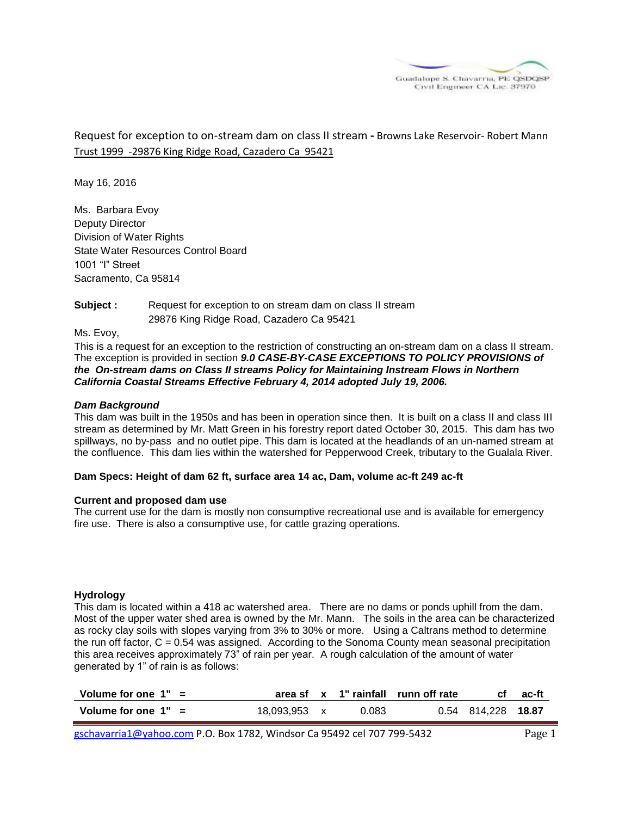

May 16, 2016

Ms. Barbara Evoy Deputy Director Division of Water Rights State Water Resources Control Board 1001 "I" Street Sacramento, Ca 95814

**Subject :** Request for exception to on stream dam on class II stream 29876 King Ridge Road, Cazadero Ca 95421

Ms. Evoy,

This is a request for an exception to the restriction of constructing an on-stream dam on a class II stream. The exception is provided in section *9.0 CASE-BY-CASE EXCEPTIONS TO POLICY PROVISIONS of the On-stream dams on Class II streams Policy for Maintaining Instream Flows in Northern California Coastal Streams Effective February 4, 2014 adopted July 19, 2006.* 

## *Dam Background*

This dam was built in the 1950s and has been in operation since then. It is built on a class II and class III stream as determined by Mr. Matt Green in his forestry report dated October 30, 2015. This dam has two spillways, no by-pass and no outlet pipe. This dam is located at the headlands of an un-named stream at the confluence. This dam lies within the watershed for Pepperwood Creek, tributary to the Gualala River.

## **Dam Specs: Height of dam 62 ft, surface area 14 ac, Dam, volume ac-ft 249 ac-ft**

#### **Current and proposed dam use**

The current use for the dam is mostly non consumptive recreational use and is available for emergency fire use. There is also a consumptive use, for cattle grazing operations.

## **Hydrology**

This dam is located within a 418 ac watershed area. There are no dams or ponds uphill from the dam. Most of the upper water shed area is owned by the Mr. Mann. The soils in the area can be characterized as rocky clay soils with slopes varying from 3% to 30% or more. Using a Caltrans method to determine the run off factor,  $C = 0.54$  was assigned. According to the Sonoma County mean seasonal precipitation this area receives approximately 73" of rain per year. A rough calculation of the amount of water generated by 1" of rain is as follows:

| Volume for one $1" =$ |              |       | area sf x 1" rainfall runn off rate |                    | ac-ft |
|-----------------------|--------------|-------|-------------------------------------|--------------------|-------|
| Volume for one $1" =$ | 18.093.953 x | 0.083 |                                     | 0.54 814.228 18.87 |       |

| gschavarria1@yahoo.com P.O. Box 1782, Windsor Ca 95492 cel 707 799-5432 | Page 1 |
|-------------------------------------------------------------------------|--------|
|-------------------------------------------------------------------------|--------|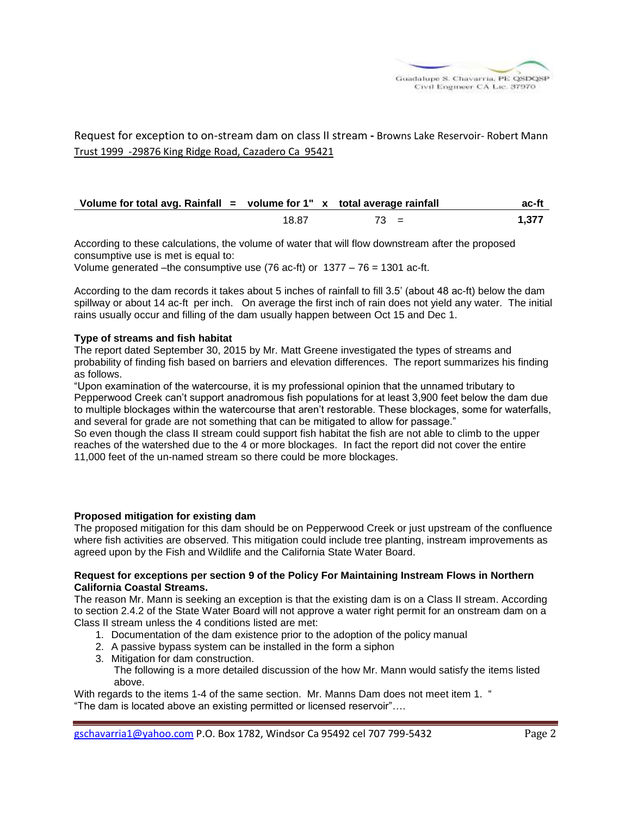

| Volume for total avg. Rainfall $=$ volume for 1" x total average rainfall |       |        | ac-ft |
|---------------------------------------------------------------------------|-------|--------|-------|
|                                                                           | 18.87 | $73 =$ | 1.377 |

According to these calculations, the volume of water that will flow downstream after the proposed consumptive use is met is equal to:

Volume generated –the consumptive use  $(76 \text{ ac-fit})$  or  $1377 - 76 = 1301 \text{ ac-fit}$ .

According to the dam records it takes about 5 inches of rainfall to fill 3.5' (about 48 ac-ft) below the dam spillway or about 14 ac-ft per inch. On average the first inch of rain does not yield any water. The initial rains usually occur and filling of the dam usually happen between Oct 15 and Dec 1.

#### **Type of streams and fish habitat**

The report dated September 30, 2015 by Mr. Matt Greene investigated the types of streams and probability of finding fish based on barriers and elevation differences. The report summarizes his finding as follows.

"Upon examination of the watercourse, it is my professional opinion that the unnamed tributary to Pepperwood Creek can't support anadromous fish populations for at least 3,900 feet below the dam due to multiple blockages within the watercourse that aren't restorable. These blockages, some for waterfalls, and several for grade are not something that can be mitigated to allow for passage."

So even though the class II stream could support fish habitat the fish are not able to climb to the upper reaches of the watershed due to the 4 or more blockages. In fact the report did not cover the entire 11,000 feet of the un-named stream so there could be more blockages.

## **Proposed mitigation for existing dam**

The proposed mitigation for this dam should be on Pepperwood Creek or just upstream of the confluence where fish activities are observed. This mitigation could include tree planting, instream improvements as agreed upon by the Fish and Wildlife and the California State Water Board.

## **Request for exceptions per section 9 of the Policy For Maintaining Instream Flows in Northern California Coastal Streams.**

The reason Mr. Mann is seeking an exception is that the existing dam is on a Class II stream. According to section 2.4.2 of the State Water Board will not approve a water right permit for an onstream dam on a Class II stream unless the 4 conditions listed are met:

- 1. Documentation of the dam existence prior to the adoption of the policy manual
- 2. A passive bypass system can be installed in the form a siphon
- 3. Mitigation for dam construction. The following is a more detailed discussion of the how Mr. Mann would satisfy the items listed above.

With regards to the items 1-4 of the same section. Mr. Manns Dam does not meet item 1. " "The dam is located above an existing permitted or licensed reservoir"….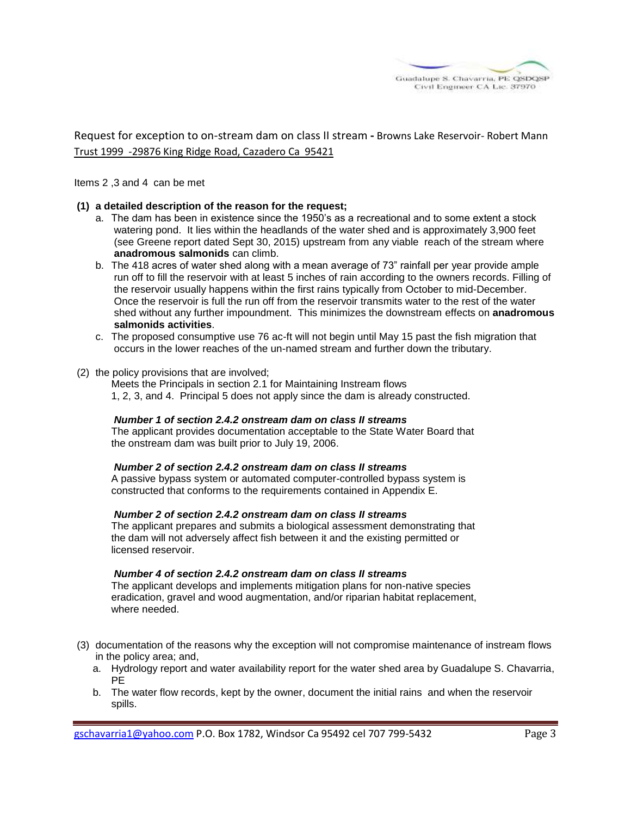

Items 2 ,3 and 4 can be met

## **(1) a detailed description of the reason for the request;**

- a. The dam has been in existence since the 1950's as a recreational and to some extent a stock watering pond. It lies within the headlands of the water shed and is approximately 3,900 feet (see Greene report dated Sept 30, 2015) upstream from any viable reach of the stream where **anadromous salmonids** can climb.
- b. The 418 acres of water shed along with a mean average of 73" rainfall per year provide ample run off to fill the reservoir with at least 5 inches of rain according to the owners records. Filling of the reservoir usually happens within the first rains typically from October to mid-December. Once the reservoir is full the run off from the reservoir transmits water to the rest of the water shed without any further impoundment. This minimizes the downstream effects on **anadromous salmonids activities**.
- c. The proposed consumptive use 76 ac-ft will not begin until May 15 past the fish migration that occurs in the lower reaches of the un-named stream and further down the tributary.
- (2) the policy provisions that are involved;

Meets the Principals in section 2.1 for Maintaining Instream flows 1, 2, 3, and 4. Principal 5 does not apply since the dam is already constructed.

# *Number 1 of section 2.4.2 onstream dam on class II streams*

The applicant provides documentation acceptable to the State Water Board that the onstream dam was built prior to July 19, 2006.

#### *Number 2 of section 2.4.2 onstream dam on class II streams*

A passive bypass system or automated computer-controlled bypass system is constructed that conforms to the requirements contained in Appendix E.

#### *Number 2 of section 2.4.2 onstream dam on class II streams*

The applicant prepares and submits a biological assessment demonstrating that the dam will not adversely affect fish between it and the existing permitted or licensed reservoir.

#### *Number 4 of section 2.4.2 onstream dam on class II streams*

The applicant develops and implements mitigation plans for non-native species eradication, gravel and wood augmentation, and/or riparian habitat replacement, where needed.

- (3) documentation of the reasons why the exception will not compromise maintenance of instream flows in the policy area; and,
	- a. Hydrology report and water availability report for the water shed area by Guadalupe S. Chavarria, PE
	- b. The water flow records, kept by the owner, document the initial rains and when the reservoir spills.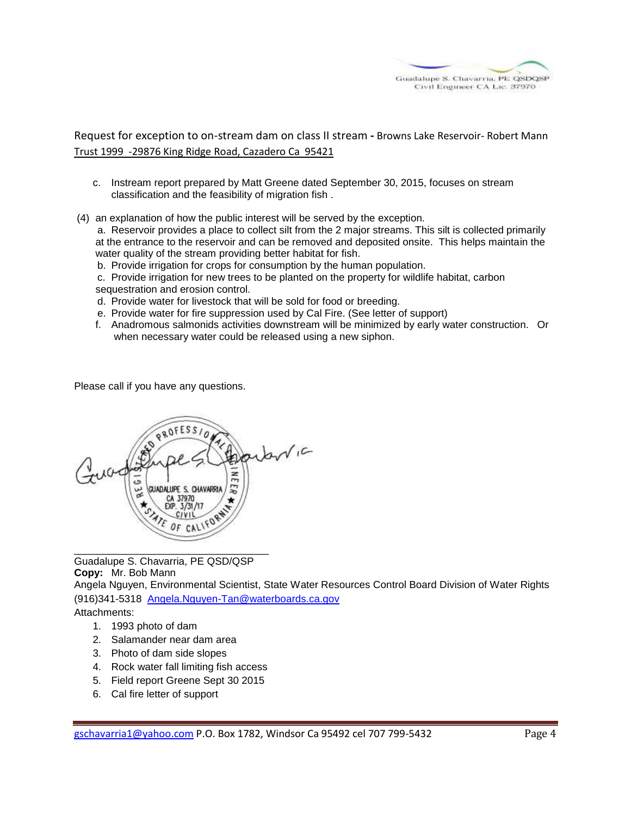

- c. Instream report prepared by Matt Greene dated September 30, 2015, focuses on stream classification and the feasibility of migration fish .
- (4) an explanation of how the public interest will be served by the exception.

a. Reservoir provides a place to collect silt from the 2 major streams. This silt is collected primarily at the entrance to the reservoir and can be removed and deposited onsite. This helps maintain the water quality of the stream providing better habitat for fish.

b. Provide irrigation for crops for consumption by the human population.

c. Provide irrigation for new trees to be planted on the property for wildlife habitat, carbon sequestration and erosion control.

- d. Provide water for livestock that will be sold for food or breeding.
- e. Provide water for fire suppression used by Cal Fire. (See letter of support)
- f. Anadromous salmonids activities downstream will be minimized by early water construction. Or when necessary water could be released using a new siphon.

Please call if you have any questions.



Guadalupe S. Chavarria, PE QSD/QSP **Copy:** Mr. Bob Mann

Angela Nguyen, Environmental Scientist, State Water Resources Control Board Division of Water Rights (916)341-5318 [Angela.Nguyen-Tan@waterboards.ca.gov](mailto:Angela.Nguyen-Tan@waterboards.ca.gov)

Attachments:

- 1. 1993 photo of dam
- 2. Salamander near dam area
- 3. Photo of dam side slopes
- 4. Rock water fall limiting fish access
- 5. Field report Greene Sept 30 2015
- 6. Cal fire letter of support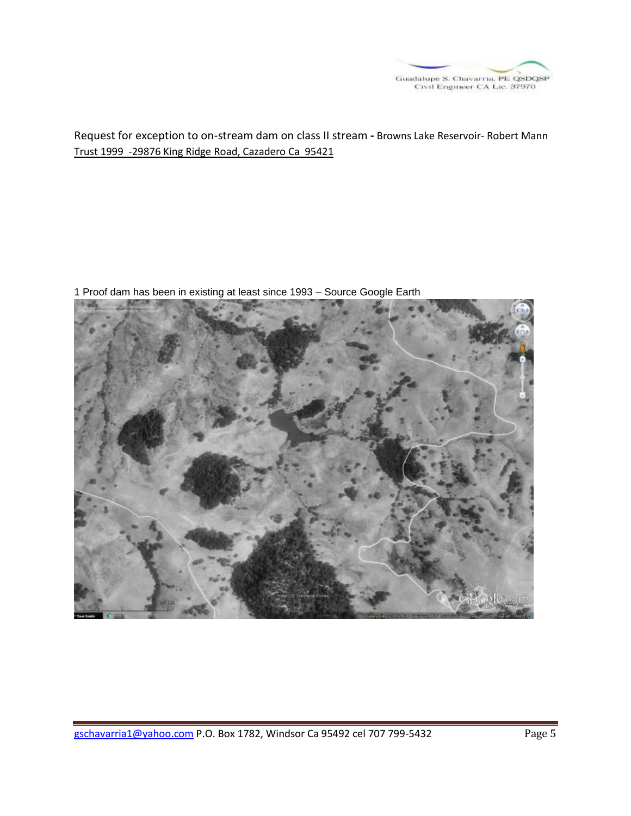

1 Proof dam has been in existing at least since 1993 – Source Google Earth

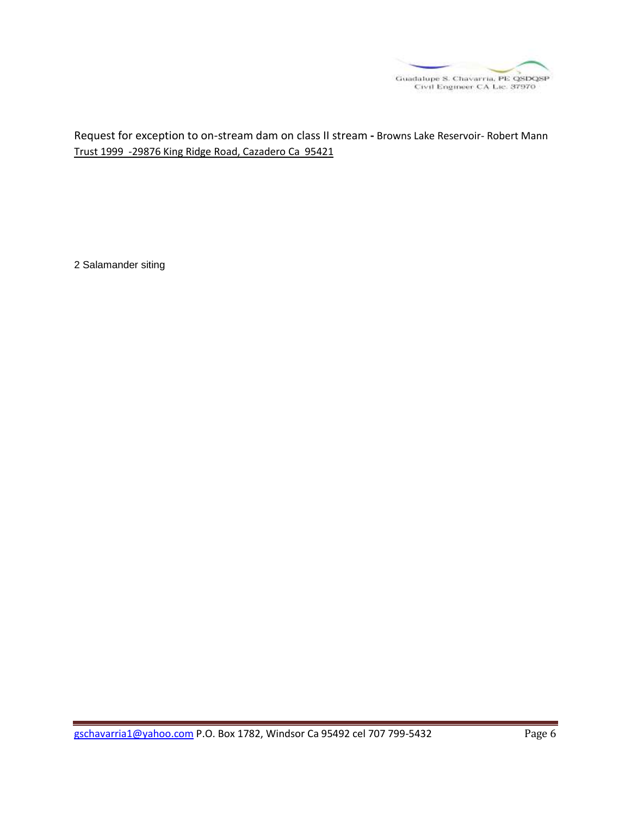

2 Salamander siting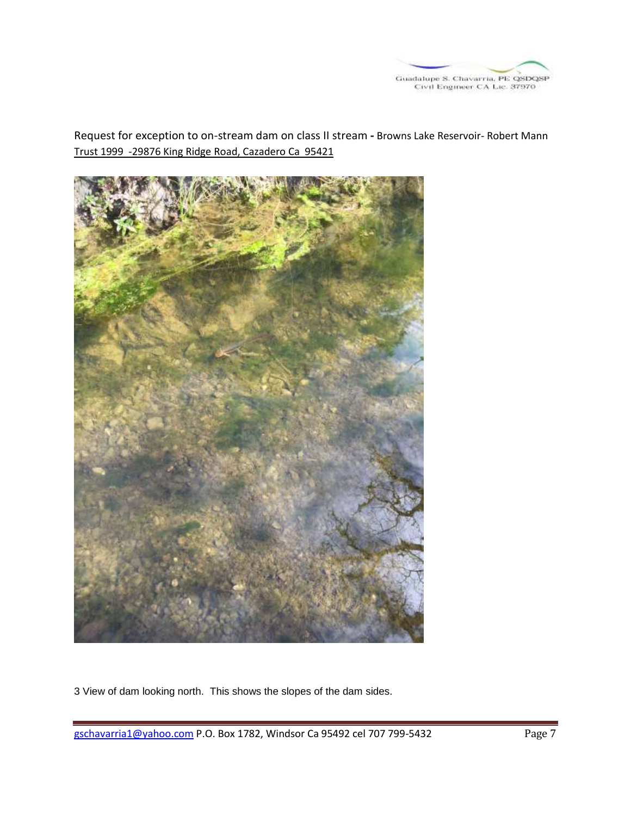



3 View of dam looking north. This shows the slopes of the dam sides.

[gschavarria1@yahoo.com](mailto:gschavarria1@yahoo.com) P.O. Box 1782, Windsor Ca 95492 cel 707 799-5432 Page 7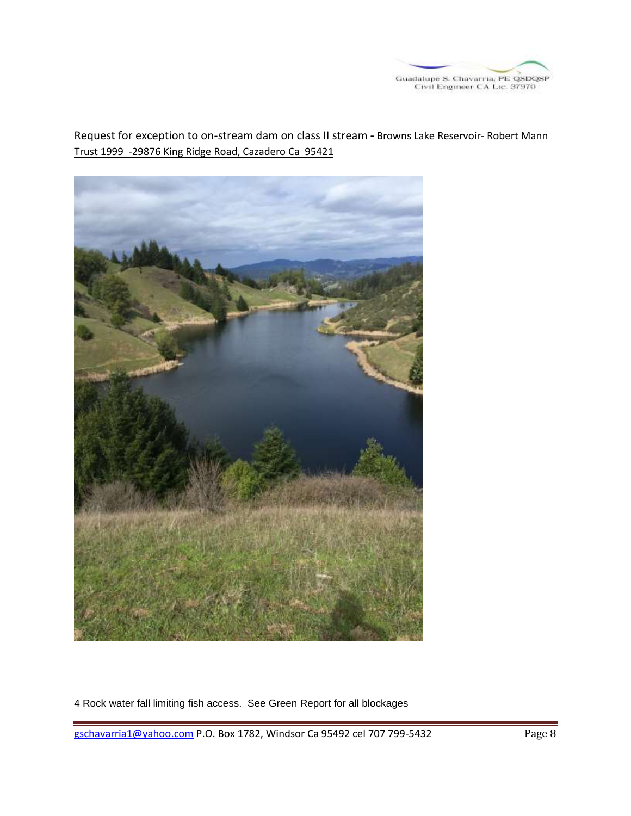



4 Rock water fall limiting fish access. See Green Report for all blockages

[gschavarria1@yahoo.com](mailto:gschavarria1@yahoo.com) P.O. Box 1782, Windsor Ca 95492 cel 707 799-5432 Page 8